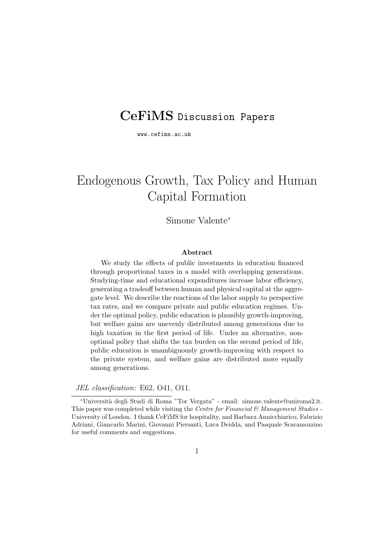# **CeFiMS** Discussion Papers

www.cefims.ac.uk

# Endogenous Growth, Tax Policy and Human Capital Formation

## Simone Valente<sup>∗</sup>

#### **Abstract**

We study the effects of public investments in education financed through proportional taxes in a model with overlapping generations. Studying-time and educational expenditures increase labor efficiency, generating a tradeoff between human and physical capital at the aggregate level. We describe the reactions of the labor supply to perspective tax rates, and we compare private and public education regimes. Under the optimal policy, public education is plausibly growth-improving, but welfare gains are unevenly distributed among generations due to high taxation in the first period of life. Under an alternative, nonoptimal policy that shifts the tax burden on the second period of life, public education is unambiguously growth-improving with respect to the private system, and welfare gains are distributed more equally among generations.

JEL classification: E62, O41, O11.

<sup>∗</sup>Universit`a degli Studi di Roma "Tor Vergata" - email: simone.valente@uniroma2.it. This paper was completed while visiting the Centre for Financial  $\mathcal B$  Management Studies -University of London. I thank CeFiMS for hospitality, and Barbara Annicchiarico, Fabrizio Adriani, Giancarlo Marini, Giovanni Piersanti, Luca Deidda, and Pasquale Scaramozzino for useful comments and suggestions.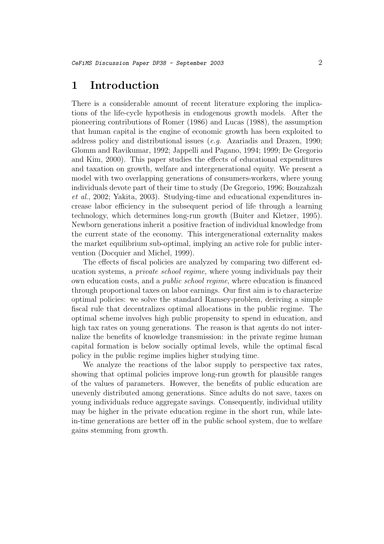# **1 Introduction**

There is a considerable amount of recent literature exploring the implications of the life-cycle hypothesis in endogenous growth models. After the pioneering contributions of Romer (1986) and Lucas (1988), the assumption that human capital is the engine of economic growth has been exploited to address policy and distributional issues (e.g. Azariadis and Drazen, 1990; Glomm and Ravikumar, 1992; Jappelli and Pagano, 1994; 1999; De Gregorio and Kim, 2000). This paper studies the effects of educational expenditures and taxation on growth, welfare and intergenerational equity. We present a model with two overlapping generations of consumers-workers, where young individuals devote part of their time to study (De Gregorio, 1996; Bouzahzah et al., 2002; Yakita, 2003). Studying-time and educational expenditures increase labor efficiency in the subsequent period of life through a learning technology, which determines long-run growth (Buiter and Kletzer, 1995). Newborn generations inherit a positive fraction of individual knowledge from the current state of the economy. This intergenerational externality makes the market equilibrium sub-optimal, implying an active role for public intervention (Docquier and Michel, 1999).

The effects of fiscal policies are analyzed by comparing two different education systems, a private school regime, where young individuals pay their own education costs, and a public school regime, where education is financed through proportional taxes on labor earnings. Our first aim is to characterize optimal policies: we solve the standard Ramsey-problem, deriving a simple fiscal rule that decentralizes optimal allocations in the public regime. The optimal scheme involves high public propensity to spend in education, and high tax rates on young generations. The reason is that agents do not internalize the benefits of knowledge transmission: in the private regime human capital formation is below socially optimal levels, while the optimal fiscal policy in the public regime implies higher studying time.

We analyze the reactions of the labor supply to perspective tax rates, showing that optimal policies improve long-run growth for plausible ranges of the values of parameters. However, the benefits of public education are unevenly distributed among generations. Since adults do not save, taxes on young individuals reduce aggregate savings. Consequently, individual utility may be higher in the private education regime in the short run, while latein-time generations are better off in the public school system, due to welfare gains stemming from growth.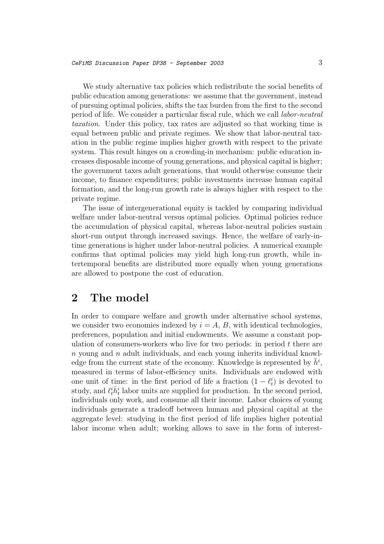We study alternative tax policies which redistribute the social benefits of public education among generations: we assume that the government, instead of pursuing optimal policies, shifts the tax burden from the first to the second period of life. We consider a particular fiscal rule, which we call labor-neutral taxation. Under this policy, tax rates are adjusted so that working time is equal between public and private regimes. We show that labor-neutral taxation in the public regime implies higher growth with respect to the private system. This result hinges on a crowding-in mechanism: public education increases disposable income of young generations, and physical capital is higher; the government taxes adult generations, that would otherwise consume their income, to finance expenditures; public investments increase human capital formation, and the long-run growth rate is always higher with respect to the private regime.

The issue of intergenerational equity is tackled by comparing individual welfare under labor-neutral versus optimal policies. Optimal policies reduce the accumulation of physical capital, whereas labor-neutral policies sustain short-run output through increased savings. Hence, the welfare of early-intime generations is higher under labor-neutral policies. A numerical example confirms that optimal policies may yield high long-run growth, while intertemporal benefits are distributed more equally when young generations are allowed to postpone the cost of education.

# **2 The model**

In order to compare welfare and growth under alternative school systems, we consider two economies indexed by  $i = A, B$ , with identical technologies, preferences, population and initial endowments. We assume a constant population of consumers-workers who live for two periods: in period  $t$  there are  $n$  young and  $n$  adult individuals, and each young inherits individual knowledge from the current state of the economy. Knowledge is represented by  $\bar{h}^i$ , measured in terms of labor-efficiency units. Individuals are endowed with one unit of time: in the first period of life a fraction  $(1 - \ell_t^i)$  is devoted to study, and  $\ell_i^i \bar{h}_t^i$  labor units are supplied for production. In the second period, individuals only work, and consume all their income. Labor choices of young individuals generate a tradeoff between human and physical capital at the aggregate level: studying in the first period of life implies higher potential labor income when adult; working allows to save in the form of interest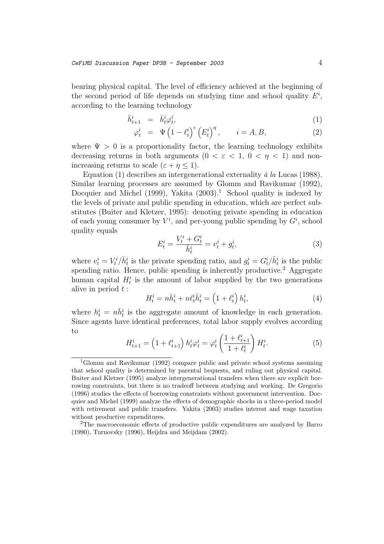bearing physical capital. The level of efficiency achieved at the beginning of the second period of life depends on studying time and school quality  $E^i$ , according to the learning technology

$$
\bar{h}^i_{t+1} = \bar{h}^i_t \varphi^i_t,\tag{1}
$$

$$
\varphi_t^i = \Psi \left( 1 - \ell_t^i \right)^\varepsilon \left( E_t^i \right)^\eta, \qquad i = A, B,
$$
\n(2)

where  $\Psi > 0$  is a proportionality factor, the learning technology exhibits decreasing returns in both arguments ( $0 < \varepsilon < 1$ ,  $0 < \eta < 1$ ) and nonincreasing returns to scale  $(\varepsilon + \eta \leq 1)$ .

Equation (1) describes an intergenerational externality  $\dot{a}$  la Lucas (1988). Similar learning processes are assumed by Glomm and Ravikumar (1992), Docquier and Michel (1999), Yakita  $(2003)^{1}$ . School quality is indexed by the levels of private and public spending in education, which are perfect substitutes (Buiter and Kletzer, 1995): denoting private spending in education of each young consumer by  $V^i$ , and per-young public spending by  $G^i$ , school quality equals

$$
E_t^i = \frac{V_t^i + G_t^i}{\bar{h}_t^i} = v_t^i + g_t^i,\tag{3}
$$

where  $v_t^i = V_t^i / \bar{h}_t^i$  is the private spending ratio, and  $g_t^i = G_t^i / \bar{h}_t^i$  is the public spending ratio. Hence, public spending is inherently productive.<sup>2</sup> Aggregate human capital  $H_t^i$  is the amount of labor supplied by the two generations alive in period  $t$  :

$$
H_t^i = n\bar{h}_t^i + n\ell_t^i \bar{h}_t^i = \left(1 + \ell_t^i\right)h_t^i,\tag{4}
$$

where  $h_t^i = n\overline{h}_t^i$  is the aggregate amount of knowledge in each generation. Since agents have identical preferences, total labor supply evolves according to

$$
H_{t+1}^i = \left(1 + \ell_{t+1}^i\right) h_t^i \varphi_t^i = \varphi_t^i \left(\frac{1 + \ell_{t+1}^i}{1 + \ell_t^i}\right) H_t^i. \tag{5}
$$

<sup>1</sup>Glomm and Ravikumar (1992) compare public and private school systems assuming that school quality is determined by parental bequests, and ruling out physical capital. Buiter and Kletzer (1995) analyze intergenerational transfers when there are explicit borrowing constraints, but there is no tradeoff between studying and working. De Gregorio (1996) studies the effects of borrowing constraints without government intervention. Docquier and Michel (1999) analyze the effects of demographic shocks in a three-period model with retirement and public transfers. Yakita (2003) studies interest and wage taxation without productive expenditures.

<sup>2</sup>The macroeconomic effects of productive public expenditures are analyzed by Barro (1990), Turnovsky (1996), Heijdra and Meijdam (2002).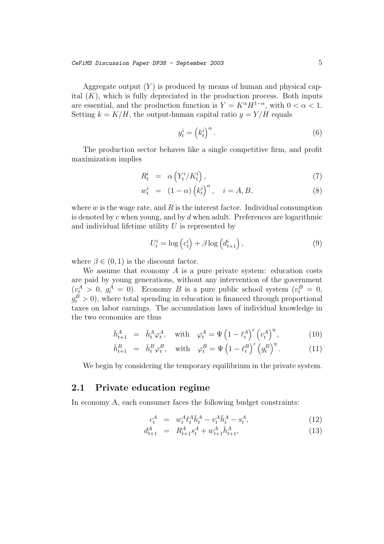Aggregate output  $(Y)$  is produced by means of human and physical capital  $(K)$ , which is fully depreciated in the production process. Both inputs are essential, and the production function is  $Y = K^{\alpha} H^{1-\alpha}$ , with  $0 < \alpha < 1$ . Setting  $k = K/H$ , the output-human capital ratio  $y = Y/H$  equals

$$
y_t^i = \left(k_t^i\right)^\alpha. \tag{6}
$$

The production sector behaves like a single competitive firm, and profit maximization implies

$$
R_t^i = \alpha \left( Y_t^i / K_t^i \right), \tag{7}
$$

$$
w_t^i = (1 - \alpha) (k_t^i)^\alpha, \quad i = A, B,
$$
\n(8)

where  $w$  is the wage rate, and  $R$  is the interest factor. Individual consumption is denoted by c when young, and by  $d$  when adult. Preferences are logarithmic and individual lifetime utility  $U$  is represented by

$$
U_t^i = \log\left(c_t^i\right) + \beta \log\left(d_{t+1}^i\right),\tag{9}
$$

where  $\beta \in (0, 1)$  is the discount factor.

We assume that economy  $A$  is a pure private system: education costs are paid by young generations, without any intervention of the government  $(v_t^A > 0, g_t^A = 0)$ . Economy B is a pure public school system  $(v_t^B = 0,$  $g_t^B > 0$ , where total spending in education is financed through proportional taxes on labor earnings. The accumulation laws of individual knowledge in the two economies are thus

$$
\bar{h}^{A}_{t+1} = \bar{h}^{A}_{t} \varphi^{A}_{t}, \quad \text{with} \quad \varphi^{A}_{t} = \Psi \left( 1 - \ell^{A}_{t} \right)^{\varepsilon} \left( v^{A}_{t} \right)^{\eta}, \tag{10}
$$

$$
\bar{h}^{B}_{t+1} = \bar{h}^{B}_{t} \varphi^{B}_{t}, \quad \text{with} \quad \varphi^{B}_{t} = \Psi \left( 1 - \ell^{B}_{t} \right)^{\varepsilon} \left( g^{B}_{t} \right)^{\eta}.
$$
 (11)

We begin by considering the temporary equilibrium in the private system.

### **2.1 Private education regime**

In economy A, each consumer faces the following budget constraints:

$$
c_t^A = w_t^A \ell_t^A \bar{h}_t^A - v_t^A \bar{h}_t^A - s_t^A, \tag{12}
$$

$$
d_{t+1}^A = R_{t+1}^A s_t^A + w_{t+1}^A \bar{h}_{t+1}^A, \tag{13}
$$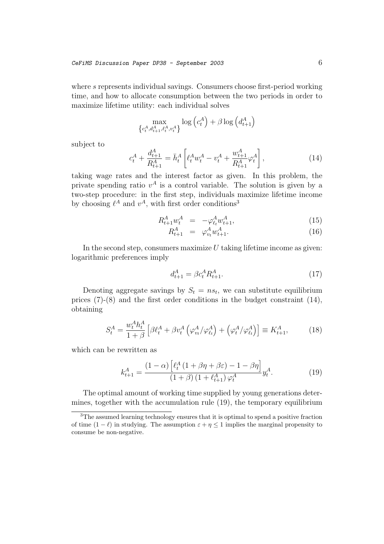where s represents individual savings. Consumers choose first-period working time, and how to allocate consumption between the two periods in order to maximize lifetime utility: each individual solves

$$
\max_{\left\{c_t^A, d_{t+1}^A, c_t^A, v_t^A\right\}} \log\left(c_t^A\right) + \beta \log\left(d_{t+1}^A\right)
$$

subject to

$$
c_t^A + \frac{d_{t+1}^A}{R_{t+1}^A} = \bar{h}_t^A \left[ \ell_t^A w_t^A - v_t^A + \frac{w_{t+1}^A}{R_{t+1}^A} \varphi_t^A \right],
$$
\n(14)

taking wage rates and the interest factor as given. In this problem, the private spending ratio  $v^A$  is a control variable. The solution is given by a two-step procedure: in the first step, individuals maximize lifetime income by choosing  $\ell^A$  and  $v^A$ , with first order conditions<sup>3</sup>

$$
R_{t+1}^A w_t^A = -\varphi_{\ell_t}^A w_{t+1}^A, \tag{15}
$$

$$
R_{t+1}^A = \varphi_{v_t}^A w_{t+1}^A. \tag{16}
$$

In the second step, consumers maximize  $U$  taking lifetime income as given: logarithmic preferences imply

$$
d_{t+1}^A = \beta c_t^A R_{t+1}^A.
$$
 (17)

Denoting aggregate savings by  $S_t = ns_t$ , we can substitute equilibrium prices (7)-(8) and the first order conditions in the budget constraint (14), obtaining

$$
S_t^A = \frac{w_t^A h_t^A}{1+\beta} \left[ \beta \ell_t^A + \beta v_t^A \left( \varphi_{v_t}^A / \varphi_{\ell_t}^A \right) + \left( \varphi_t^A / \varphi_{\ell_t}^A \right) \right] \equiv K_{t+1}^A, \tag{18}
$$

which can be rewritten as

$$
k_{t+1}^A = \frac{(1-\alpha)\left[\ell_t^A \left(1+\beta\eta+\beta\epsilon\right) - 1 - \beta\eta\right]}{(1+\beta)\left(1+\ell_{t+1}^A\right)\varphi_t^A} y_t^A.
$$
 (19)

The optimal amount of working time supplied by young generations determines, together with the accumulation rule (19), the temporary equilibrium

<sup>3</sup>The assumed learning technology ensures that it is optimal to spend a positive fraction of time  $(1 - \ell)$  in studying. The assumption  $\varepsilon + \eta \leq 1$  implies the marginal propensity to consume be non-negative.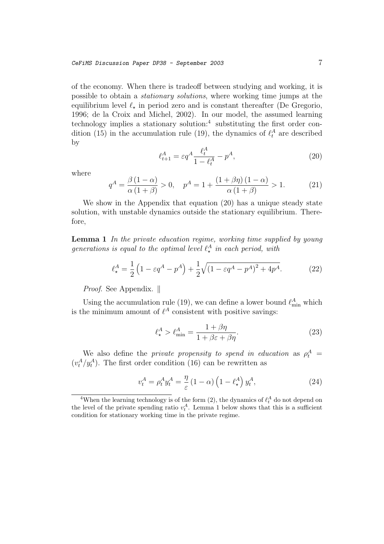of the economy. When there is tradeoff between studying and working, it is possible to obtain a stationary solutions, where working time jumps at the equilibrium level  $\ell_{\star}$  in period zero and is constant thereafter (De Gregorio, 1996; de la Croix and Michel, 2002). In our model, the assumed learning technology implies a stationary solution: $4$  substituting the first order condition (15) in the accumulation rule (19), the dynamics of  $\ell_t^A$  are described by

$$
\ell_{t+1}^A = \varepsilon q^A \frac{\ell_t^A}{1 - \ell_t^A} - p^A,\tag{20}
$$

where

$$
q^{A} = \frac{\beta (1 - \alpha)}{\alpha (1 + \beta)} > 0, \quad p^{A} = 1 + \frac{(1 + \beta \eta) (1 - \alpha)}{\alpha (1 + \beta)} > 1.
$$
 (21)

We show in the Appendix that equation (20) has a unique steady state solution, with unstable dynamics outside the stationary equilibrium. Therefore,

**Lemma 1** In the private education regime, working time supplied by young generations is equal to the optimal level  $\ell_{\star}^{A}$  in each period, with

$$
\ell_{\star}^{A} = \frac{1}{2} \left( 1 - \varepsilon q^{A} - p^{A} \right) + \frac{1}{2} \sqrt{\left( 1 - \varepsilon q^{A} - p^{A} \right)^{2} + 4p^{A}}.
$$
 (22)

*Proof.* See Appendix.  $\parallel$ 

Using the accumulation rule (19), we can define a lower bound  $\ell_{\min}^A$  which is the minimum amount of  $\ell^A$  consistent with positive savings:

$$
\ell_{\star}^{A} > \ell_{\min}^{A} = \frac{1 + \beta \eta}{1 + \beta \varepsilon + \beta \eta}.
$$
\n(23)

We also define the *private propensity to spend in education* as  $\rho_t^A$  $(v_t^A/y_t^A)$ . The first order condition (16) can be rewritten as

$$
v_t^A = \rho_t^A y_t^A = \frac{\eta}{\varepsilon} \left( 1 - \alpha \right) \left( 1 - \ell_\star^A \right) y_t^A,\tag{24}
$$

<sup>&</sup>lt;sup>4</sup>When the learning technology is of the form (2), the dynamics of  $\ell_t^A$  do not depend on the level of the private spending ratio  $v_t^A$ . Lemma 1 below shows that this is a sufficient condition for stationary working time in the private regime.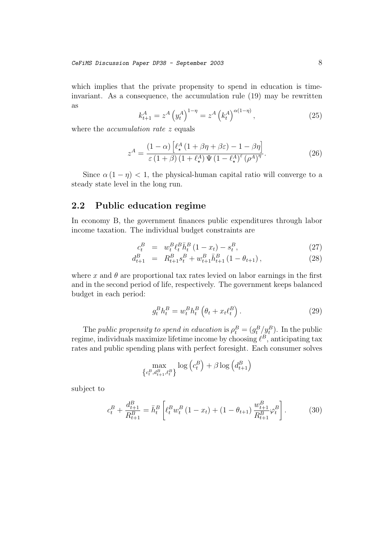which implies that the private propensity to spend in education is timeinvariant. As a consequence, the accumulation rule (19) may be rewritten as

$$
k_{t+1}^{A} = z^{A} (y_{t}^{A})^{1-\eta} = z^{A} (k_{t}^{A})^{\alpha(1-\eta)}, \qquad (25)
$$

where the *accumulation rate* z equals

$$
z^{A} = \frac{(1 - \alpha) \left[ \ell_{\star}^{A} \left( 1 + \beta \eta + \beta \varepsilon \right) - 1 - \beta \eta \right]}{\varepsilon \left( 1 + \beta \right) \left( 1 + \ell_{\star}^{A} \right) \Psi \left( 1 - \ell_{\star}^{A} \right)^{\varepsilon} \left( \rho^{A} \right)^{\eta}}.
$$
\n(26)

Since  $\alpha(1-\eta) < 1$ , the physical-human capital ratio will converge to a steady state level in the long run.

### **2.2 Public education regime**

In economy B, the government finances public expenditures through labor income taxation. The individual budget constraints are

$$
c_t^B = w_t^B \ell_t^B \bar{h}_t^B (1 - x_t) - s_t^B, \tag{27}
$$

$$
d_{t+1}^{B} = R_{t+1}^{B} s_t^{B} + w_{t+1}^{B} \bar{h}_{t+1}^{B} (1 - \theta_{t+1}), \qquad (28)
$$

where x and  $\theta$  are proportional tax rates levied on labor earnings in the first and in the second period of life, respectively. The government keeps balanced budget in each period:

$$
g_t^B h_t^B = w_t^B h_t^B \left(\theta_t + x_t \ell_t^B\right). \tag{29}
$$

The public propensity to spend in education is  $\rho_t^B = (g_t^B / g_t^B)$ . In the public regime, individuals maximize lifetime income by choosing  $\ell^B$ , anticipating tax rates and public spending plans with perfect foresight. Each consumer solves

$$
\max_{\left\{c_t^B, d_{t+1}^B, \ell_t^B\right\}} \log\left(c_t^B\right) + \beta \log\left(d_{t+1}^B\right)
$$

subject to

$$
c_t^B + \frac{d_{t+1}^B}{R_{t+1}^B} = \bar{h}_t^B \left[ \ell_t^B w_t^B \left( 1 - x_t \right) + \left( 1 - \theta_{t+1} \right) \frac{w_{t+1}^B}{R_{t+1}^B} \varphi_t^B \right]. \tag{30}
$$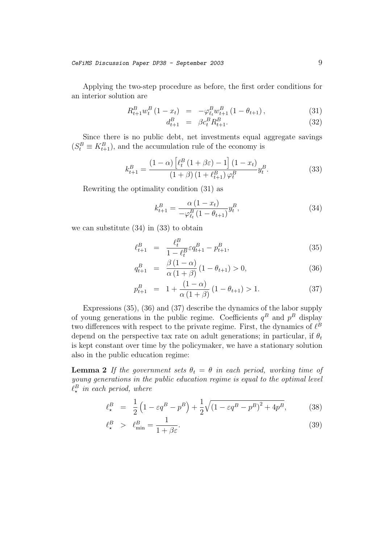Applying the two-step procedure as before, the first order conditions for an interior solution are

$$
R_{t+1}^{B} w_t^B (1 - x_t) = -\varphi_{\ell_t}^B w_{t+1}^B (1 - \theta_{t+1}), \qquad (31)
$$

$$
d_{t+1}^B = \beta c_t^B R_{t+1}^B. \tag{32}
$$

Since there is no public debt, net investments equal aggregate savings  $(S_t^B \equiv K_{t+1}^B)$ , and the accumulation rule of the economy is

$$
k_{t+1}^{B} = \frac{(1-\alpha)\left[\ell_t^B\left(1+\beta\varepsilon\right)-1\right](1-x_t)}{(1+\beta)\left(1+\ell_{t+1}^B\right)\varphi_t^B} y_t^B. \tag{33}
$$

Rewriting the optimality condition (31) as

$$
k_{t+1}^{B} = \frac{\alpha (1 - x_t)}{-\varphi_{\ell_t}^{B} (1 - \theta_{t+1})} y_t^B,
$$
\n(34)

we can substitute (34) in (33) to obtain

$$
\ell_{t+1}^B = \frac{\ell_t^B}{1 - \ell_t^B} \varepsilon q_{t+1}^B - p_{t+1}^B,
$$
\n(35)

$$
q_{t+1}^{B} = \frac{\beta (1 - \alpha)}{\alpha (1 + \beta)} (1 - \theta_{t+1}) > 0, \qquad (36)
$$

$$
p_{t+1}^{B} = 1 + \frac{(1-\alpha)}{\alpha(1+\beta)} (1 - \theta_{t+1}) > 1.
$$
 (37)

Expressions (35), (36) and (37) describe the dynamics of the labor supply of young generations in the public regime. Coefficients  $q^B$  and  $p^B$  display two differences with respect to the private regime. First, the dynamics of  $\ell^B$ depend on the perspective tax rate on adult generations; in particular, if  $\theta_t$ is kept constant over time by the policymaker, we have a stationary solution also in the public education regime:

**Lemma 2** If the government sets  $\theta_t = \theta$  in each period, working time of young generations in the public education regime is equal to the optimal level  $\ell_{\star}^{B}$  in each period, where

$$
\ell_{\star}^{B} = \frac{1}{2} \left( 1 - \varepsilon q^{B} - p^{B} \right) + \frac{1}{2} \sqrt{\left( 1 - \varepsilon q^{B} - p^{B} \right)^{2} + 4p^{B}},\tag{38}
$$

$$
\ell_{\star}^{B} > \ell_{\min}^{B} = \frac{1}{1 + \beta \varepsilon}.
$$
\n(39)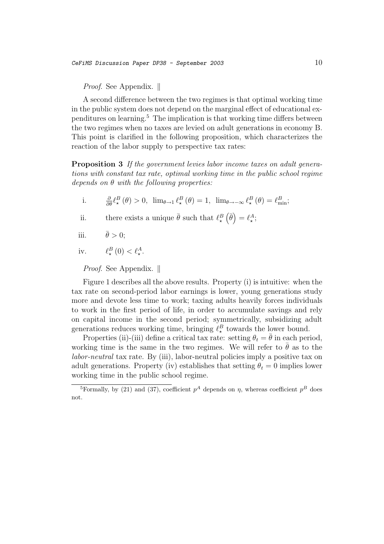*Proof.* See Appendix.  $\parallel$ 

A second difference between the two regimes is that optimal working time in the public system does not depend on the marginal effect of educational expenditures on learning.<sup>5</sup> The implication is that working time differs between the two regimes when no taxes are levied on adult generations in economy B. This point is clarified in the following proposition, which characterizes the reaction of the labor supply to perspective tax rates:

**Proposition 3** If the government levies labor income taxes on adult generations with constant tax rate, optimal working time in the public school regime depends on  $\theta$  with the following properties:

i.  $\frac{\partial}{\partial \theta} \ell^B_\star(\theta) > 0$ ,  $\lim_{\theta \to 1} \ell^B_\star(\theta) = 1$ ,  $\lim_{\theta \to -\infty} \ell^B_\star(\theta) = \ell^B_{\min}$ ;

ii. there exists a unique  $\bar{\theta}$  such that  $\ell_{\star}^{B}(\bar{\theta}) = \ell_{\star}^{A}$ ;

iii.  $\bar{\theta} > 0$ ;

iv.  $\ell_{\star}^{B}(0) < \ell_{\star}^{A}$ .

Proof. See Appendix.  $\parallel$ 

Figure 1 describes all the above results. Property (i) is intuitive: when the tax rate on second-period labor earnings is lower, young generations study more and devote less time to work; taxing adults heavily forces individuals to work in the first period of life, in order to accumulate savings and rely on capital income in the second period; symmetrically, subsidizing adult generations reduces working time, bringing  $\ell_{\star}^{B}$  towards the lower bound.

Properties (ii)-(iii) define a critical tax rate: setting  $\theta_t = \overline{\theta}$  in each period, working time is the same in the two regimes. We will refer to  $\bar{\theta}$  as to the labor-neutral tax rate. By (iii), labor-neutral policies imply a positive tax on adult generations. Property (iv) establishes that setting  $\theta_t = 0$  implies lower working time in the public school regime.

<sup>&</sup>lt;sup>5</sup>Formally, by (21) and (37), coefficient  $p^A$  depends on  $\eta$ , whereas coefficient  $p^B$  does not.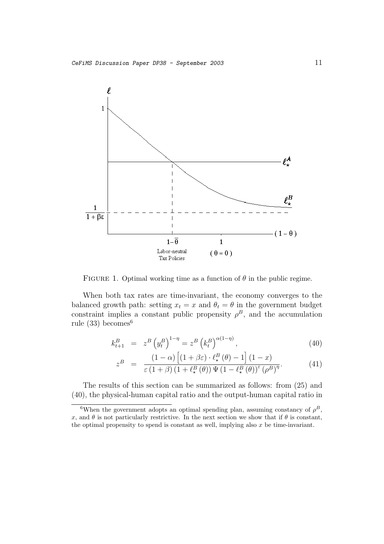

FIGURE 1. Optimal working time as a function of  $\theta$  in the public regime.

When both tax rates are time-invariant, the economy converges to the balanced growth path: setting  $x_t = x$  and  $\theta_t = \theta$  in the government budget constraint implies a constant public propensity  $\rho^B$ , and the accumulation rule  $(33)$  becomes<sup>6</sup>

$$
k_{t+1}^{B} = z^{B} (y_{t}^{B})^{1-\eta} = z^{B} (k_{t}^{B})^{\alpha(1-\eta)}, \qquad (40)
$$

$$
z^{B} = \frac{(1-\alpha)\left[ (1+\beta\varepsilon)\cdot \ell_{\star}^{B}(\theta) - 1 \right] (1-x)}{\varepsilon(1+\beta)\left(1+\ell_{\star}^{B}(\theta)\right) \Psi\left(1-\ell_{\star}^{B}(\theta)\right)^{\varepsilon} (\rho^{B})^{\eta}}.
$$
(41)

The results of this section can be summarized as follows: from (25) and (40), the physical-human capital ratio and the output-human capital ratio in

<sup>&</sup>lt;sup>6</sup>When the government adopts an optimal spending plan, assuming constancy of  $\rho^B$ , x, and  $\theta$  is not particularly restrictive. In the next section we show that if  $\theta$  is constant, the optimal propensity to spend is constant as well, implying also  $x$  be time-invariant.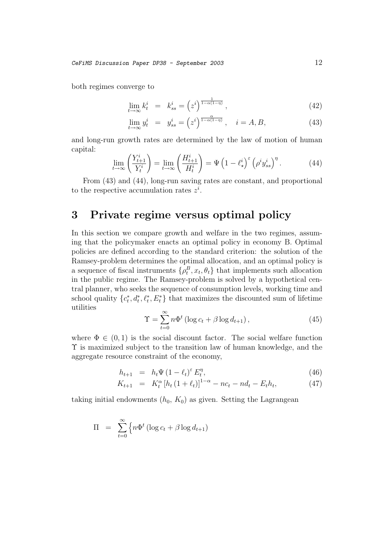both regimes converge to

$$
\lim_{t \to \infty} k_t^i = k_{ss}^i = \left(z^i\right)^{\frac{1}{1-\alpha(1-\eta)}},\tag{42}
$$

$$
\lim_{t \to \infty} y_t^i = y_{ss}^i = \left(z^i\right)^{\frac{\alpha}{1-\alpha(1-\eta)}}, \quad i = A, B,
$$
\n(43)

and long-run growth rates are determined by the law of motion of human capital:

$$
\lim_{t \to \infty} \left( \frac{Y_{t+1}^i}{Y_t^i} \right) = \lim_{t \to \infty} \left( \frac{H_{t+1}^i}{H_t^i} \right) = \Psi \left( 1 - \ell_{\star}^i \right)^\varepsilon \left( \rho^i y_{ss}^i \right)^\eta. \tag{44}
$$

From (43) and (44), long-run saving rates are constant, and proportional to the respective accumulation rates  $z^i$ .

# **3 Private regime versus optimal policy**

In this section we compare growth and welfare in the two regimes, assuming that the policymaker enacts an optimal policy in economy B. Optimal policies are defined according to the standard criterion: the solution of the Ramsey-problem determines the optimal allocation, and an optimal policy is a sequence of fiscal instruments  $\{\rho_t^B, x_t, \theta_t\}$  that implements such allocation in the public regime. The Ramsey-problem is solved by a hypothetical central planner, who seeks the sequence of consumption levels, working time and school quality  $\{c_t^*, d_t^*, \ell_t^*, E_t^*\}$  that maximizes the discounted sum of lifetime utilities

$$
\Upsilon = \sum_{t=0}^{\infty} n\Phi^t \left( \log c_t + \beta \log d_{t+1} \right),\tag{45}
$$

where  $\Phi \in (0,1)$  is the social discount factor. The social welfare function Υ is maximized subject to the transition law of human knowledge, and the aggregate resource constraint of the economy,

$$
h_{t+1} = h_t \Psi \left( 1 - \ell_t \right)^{\varepsilon} E_t^{\eta}, \tag{46}
$$

$$
K_{t+1} = K_t^{\alpha} \left[ h_t \left( 1 + \ell_t \right) \right]^{1-\alpha} - n c_t - n d_t - E_t h_t, \tag{47}
$$

taking initial endowments  $(h_0, K_0)$  as given. Setting the Lagrangean

$$
\Pi = \sum_{t=0}^{\infty} \left\{ n \Phi^t \left( \log c_t + \beta \log d_{t+1} \right) \right\}
$$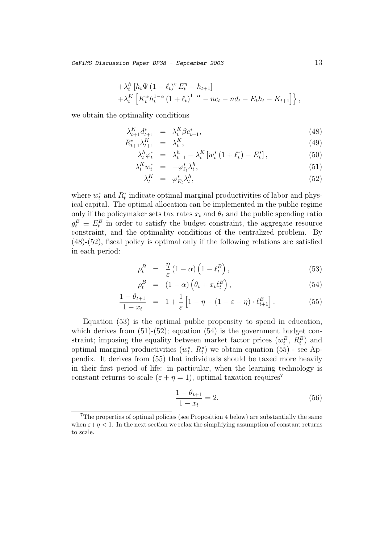CeFiMS Discussion Paper DP38 - September 2003  $13$ 

$$
+ \lambda_t^h \left[ h_t \Psi \left( 1 - \ell_t \right)^\varepsilon E_t^\eta - h_{t+1} \right] + \lambda_t^K \left[ K_t^\alpha h_t^{1-\alpha} \left( 1 + \ell_t \right)^{1-\alpha} - n c_t - n d_t - E_t h_t - K_{t+1} \right] \},
$$

we obtain the optimality conditions

$$
\lambda_{t+1}^K d_{t+1}^* = \lambda_t^K \beta c_{t+1}^*,\tag{48}
$$

$$
R_{t+1}^* \lambda_{t+1}^K = \lambda_t^K, \tag{49}
$$

$$
\lambda_t^h \varphi_t^* = \lambda_{t-1}^h - \lambda_t^K \left[ w_t^* \left( 1 + \ell_t^* \right) - E_t^* \right],\tag{50}
$$

$$
\lambda_t^K w_t^* = -\varphi_{\ell_t}^* \lambda_t^h, \tag{51}
$$

$$
\lambda_t^K = \varphi_{E_t}^* \lambda_t^h,\tag{52}
$$

where  $w_t^*$  and  $R_t^*$  indicate optimal marginal productivities of labor and physical capital. The optimal allocation can be implemented in the public regime only if the policymaker sets tax rates  $x_t$  and  $\theta_t$  and the public spending ratio  $g_t^B \equiv E_t^B$  in order to satisfy the budget constraint, the aggregate resource constraint, and the optimality conditions of the centralized problem. By (48)-(52), fiscal policy is optimal only if the following relations are satisfied in each period:

$$
\rho_t^B = \frac{\eta}{\varepsilon} (1 - \alpha) \left( 1 - \ell_t^B \right), \tag{53}
$$

$$
\rho_t^B = (1 - \alpha) \left( \theta_t + x_t \ell_t^B \right), \tag{54}
$$

$$
\frac{1 - \theta_{t+1}}{1 - x_t} = 1 + \frac{1}{\varepsilon} \left[ 1 - \eta - (1 - \varepsilon - \eta) \cdot \ell_{t+1}^B \right]. \tag{55}
$$

Equation (53) is the optimal public propensity to spend in education, which derives from  $(51)-(52)$ ; equation  $(54)$  is the government budget constraint; imposing the equality between market factor prices  $(w_t^B, R_t^B)$  and optimal marginal productivities  $(w_t^*, R_t^*)$  we obtain equation  $(55)$  - see Appendix. It derives from (55) that individuals should be taxed more heavily in their first period of life: in particular, when the learning technology is constant-returns-to-scale  $(\varepsilon + \eta = 1)$ , optimal taxation requires<sup>7</sup>

$$
\frac{1 - \theta_{t+1}}{1 - x_t} = 2.
$$
\n(56)

 $7$ The properties of optimal policies (see Proposition 4 below) are substantially the same when  $\varepsilon+\eta < 1$ . In the next section we relax the simplifying assumption of constant returns to scale.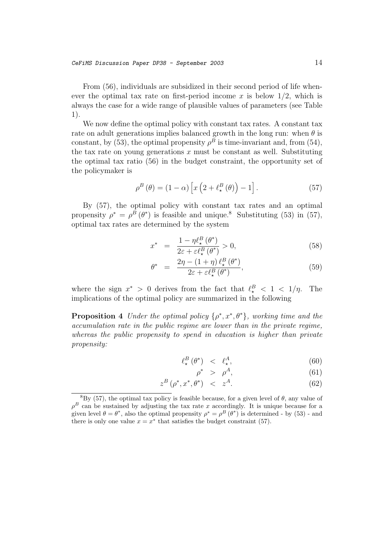From (56), individuals are subsidized in their second period of life whenever the optimal tax rate on first-period income x is below  $1/2$ , which is always the case for a wide range of plausible values of parameters (see Table 1).

We now define the optimal policy with constant tax rates. A constant tax rate on adult generations implies balanced growth in the long run: when  $\theta$  is constant, by (53), the optimal propensity  $\rho^B$  is time-invariant and, from (54), the tax rate on young generations  $x$  must be constant as well. Substituting the optimal tax ratio (56) in the budget constraint, the opportunity set of the policymaker is

$$
\rho^{B}(\theta) = (1 - \alpha) \left[ x \left( 2 + \ell_{\star}^{B}(\theta) \right) - 1 \right]. \tag{57}
$$

By (57), the optimal policy with constant tax rates and an optimal propensity  $\rho^* = \rho^B(\theta^*)$  is feasible and unique.<sup>8</sup> Substituting (53) in (57), optimal tax rates are determined by the system

$$
x^* = \frac{1 - \eta \ell^B_{\star}(\theta^*)}{2\varepsilon + \varepsilon \ell^B_{\star}(\theta^*)} > 0,
$$
\n(58)

$$
\theta^* = \frac{2\eta - (1+\eta)\,\ell^B_\star\left(\theta^*\right)}{2\varepsilon + \varepsilon\ell^B_\star\left(\theta^*\right)},\tag{59}
$$

where the sign  $x^* > 0$  derives from the fact that  $\ell_{\star}^B < 1 < 1/\eta$ . The implications of the optimal policy are summarized in the following

**Proposition 4** Under the optimal policy  $\{\rho^*, x^*, \theta^*\}$ , working time and the accumulation rate in the public regime are lower than in the private regime, whereas the public propensity to spend in education is higher than private propensity:

$$
\ell^B_\star(\theta^*) \quad < \quad \ell^A_\star,\tag{60}
$$

$$
\rho^* \ge \rho^A,\tag{61}
$$

$$
z^B\left(\rho^*, x^*, \theta^*\right) \quad < \quad z^A. \tag{62}
$$

 ${}^{8}$ By (57), the optimal tax policy is feasible because, for a given level of  $\theta$ , any value of  $\rho^B$  can be sustained by adjusting the tax rate x accordingly. It is unique because for a given level  $\theta = \theta^*$ , also the optimal propensity  $\rho^* = \rho^B(\theta^*)$  is determined - by (53) - and there is only one value  $x = x^*$  that satisfies the budget constraint (57).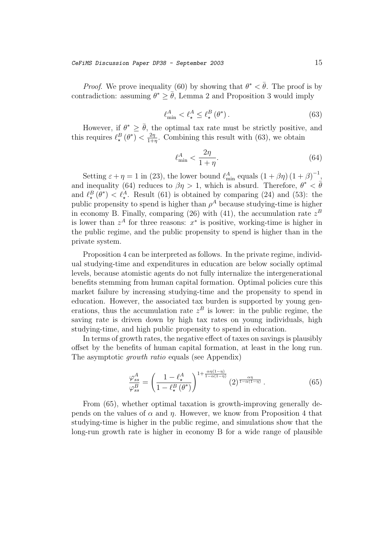*Proof.* We prove inequality (60) by showing that  $\theta^* < \bar{\theta}$ . The proof is by contradiction: assuming  $\theta^* > \overline{\theta}$ , Lemma 2 and Proposition 3 would imply

$$
\ell_{\min}^A < \ell_\star^A \le \ell_\star^B \left( \theta^* \right). \tag{63}
$$

However, if  $\theta^* \geq \overline{\theta}$ , the optimal tax rate must be strictly positive, and this requires  $\ell_{\star}^{B}(\theta^*) < \frac{2\eta}{1+\eta}$ . Combining this result with (63), we obtain

$$
\ell_{\min}^A < \frac{2\eta}{1+\eta}.\tag{64}
$$

Setting  $\varepsilon + \eta = 1$  in (23), the lower bound  $\ell_{\min}^A$  equals  $(1 + \beta \eta) (1 + \beta)^{-1}$ . and inequality (64) reduces to  $\beta \eta > 1$ , which is absurd. Therefore,  $\theta^* < \bar{\theta}$ and  $\ell^B_\star(\theta^*) < \ell^A_\star$ . Result (61) is obtained by comparing (24) and (53): the public propensity to spend is higher than  $\rho^A$  because studying-time is higher in economy B. Finally, comparing (26) with (41), the accumulation rate  $z^B$ is lower than  $z^A$  for three reasons:  $x^*$  is positive, working-time is higher in the public regime, and the public propensity to spend is higher than in the private system.

Proposition 4 can be interpreted as follows. In the private regime, individual studying-time and expenditures in education are below socially optimal levels, because atomistic agents do not fully internalize the intergenerational benefits stemming from human capital formation. Optimal policies cure this market failure by increasing studying-time and the propensity to spend in education. However, the associated tax burden is supported by young generations, thus the accumulation rate  $z^B$  is lower: in the public regime, the saving rate is driven down by high tax rates on young individuals, high studying-time, and high public propensity to spend in education.

In terms of growth rates, the negative effect of taxes on savings is plausibly offset by the benefits of human capital formation, at least in the long run. The asymptotic *growth ratio* equals (see Appendix)

$$
\frac{\varphi_{ss}^{A}}{\varphi_{ss}^{B}} = \left(\frac{1-\ell_{\star}^{A}}{1-\ell_{\star}^{B}(\theta^{*})}\right)^{1+\frac{\alpha\eta(1-\eta)}{1-\alpha(1-\eta)}}(2)^{\frac{\alpha\eta}{1-\alpha(1-\eta)}}.
$$
(65)

From (65), whether optimal taxation is growth-improving generally depends on the values of  $\alpha$  and  $\eta$ . However, we know from Proposition 4 that studying-time is higher in the public regime, and simulations show that the long-run growth rate is higher in economy B for a wide range of plausible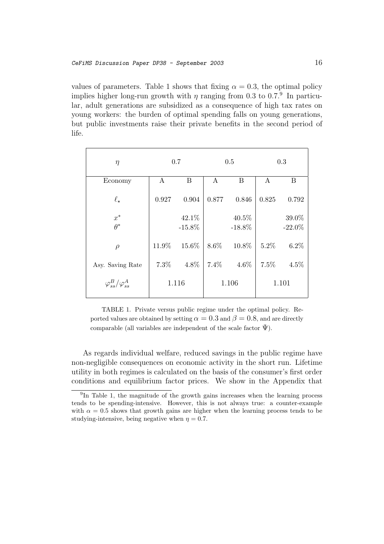values of parameters. Table 1 shows that fixing  $\alpha = 0.3$ , the optimal policy implies higher long-run growth with  $\eta$  ranging from 0.3 to 0.7.<sup>9</sup> In particular, adult generations are subsidized as a consequence of high tax rates on young workers: the burden of optimal spending falls on young generations, but public investments raise their private benefits in the second period of life.

| $\eta$                          | 0.7   |           | 0.5   |           | 0.3   |           |
|---------------------------------|-------|-----------|-------|-----------|-------|-----------|
| Economy                         | A     | B         | A     | B         | A     | B         |
| $\ell_{\star}$                  | 0.927 | 0.904     | 0.877 | 0.846     | 0.825 | 0.792     |
| $x^\ast$                        |       | 42.1%     |       | 40.5%     |       | 39.0%     |
| $\theta^*$                      |       | $-15.8\%$ |       | $-18.8\%$ |       | $-22.0\%$ |
| $\rho$                          | 11.9% | 15.6%     | 8.6%  | 10.8%     | 5.2%  | 6.2%      |
| Asy. Saving Rate                | 7.3%  | 4.8%      | 7.4%  | $4.6\%$   | 7.5%  | 4.5%      |
| $\varphi_{ss}^B/\varphi_{ss}^A$ | 1.116 |           | 1.106 |           | 1.101 |           |

TABLE 1. Private versus public regime under the optimal policy. Reported values are obtained by setting  $\alpha = 0.3$  and  $\beta = 0.8$ , and are directly comparable (all variables are independent of the scale factor  $\Psi$ ).

As regards individual welfare, reduced savings in the public regime have non-negligible consequences on economic activity in the short run. Lifetime utility in both regimes is calculated on the basis of the consumer's first order conditions and equilibrium factor prices. We show in the Appendix that

<sup>&</sup>lt;sup>9</sup>In Table 1, the magnitude of the growth gains increases when the learning process tends to be spending-intensive. However, this is not always true: a counter-example with  $\alpha = 0.5$  shows that growth gains are higher when the learning process tends to be studying-intensive, being negative when  $\eta = 0.7$ .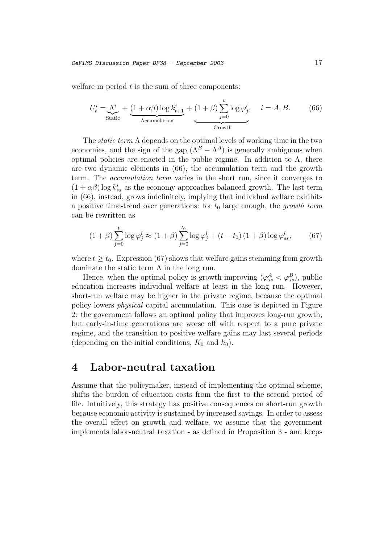welfare in period  $t$  is the sum of three components:

$$
U_t^i = \underbrace{\Lambda^i}_{\text{Static}} + \underbrace{(1 + \alpha \beta) \log k^i_{t+1}}_{\text{Accumulation}} + (1 + \beta) \underbrace{\sum_{j=0}^t \log \varphi_j^i}_{\text{Growth}}, \quad i = A, B. \tag{66}
$$

The static term Λ depends on the optimal levels of working time in the two economies, and the sign of the gap  $(\Lambda^B - \Lambda^A)$  is generally ambiguous when optimal policies are enacted in the public regime. In addition to  $\Lambda$ , there are two dynamic elements in (66), the accumulation term and the growth term. The accumulation term varies in the short run, since it converges to  $(1 + \alpha \beta)$  log  $k_{ss}^{i}$  as the economy approaches balanced growth. The last term in (66), instead, grows indefinitely, implying that individual welfare exhibits a positive time-trend over generations: for  $t_0$  large enough, the growth term can be rewritten as

$$
(1+\beta)\sum_{j=0}^{t} \log \varphi_j^i \approx (1+\beta)\sum_{j=0}^{t_0} \log \varphi_j^i + (t-t_0)(1+\beta)\log \varphi_{ss}^i,\tag{67}
$$

where  $t > t_0$ . Expression (67) shows that welfare gains stemming from growth dominate the static term  $\Lambda$  in the long run.

Hence, when the optimal policy is growth-improving  $(\varphi_{ss}^A < \varphi_{ss}^B)$ , public education increases individual welfare at least in the long run. However, short-run welfare may be higher in the private regime, because the optimal policy lowers physical capital accumulation. This case is depicted in Figure 2: the government follows an optimal policy that improves long-run growth, but early-in-time generations are worse off with respect to a pure private regime, and the transition to positive welfare gains may last several periods (depending on the initial conditions,  $K_0$  and  $h_0$ ).

## **4Labor-neutral taxation**

Assume that the policymaker, instead of implementing the optimal scheme, shifts the burden of education costs from the first to the second period of life. Intuitively, this strategy has positive consequences on short-run growth because economic activity is sustained by increased savings. In order to assess the overall effect on growth and welfare, we assume that the government implements labor-neutral taxation - as defined in Proposition 3 - and keeps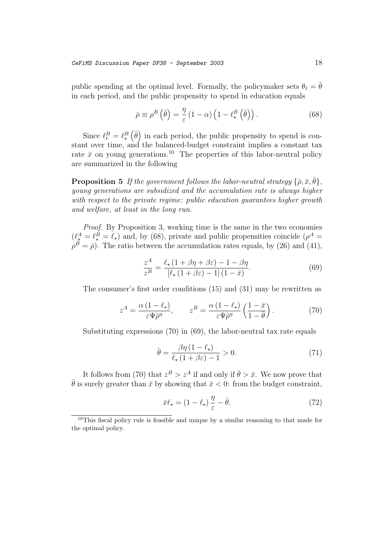public spending at the optimal level. Formally, the policymaker sets  $\theta_t = \theta$ in each period, and the public propensity to spend in education equals

$$
\bar{\rho} \equiv \rho^B \left( \bar{\theta} \right) = \frac{\eta}{\varepsilon} \left( 1 - \alpha \right) \left( 1 - \ell_{\star}^B \left( \bar{\theta} \right) \right). \tag{68}
$$

Since  $\ell_t^B = \ell_{\star}^B(\bar{\theta})$  in each period, the public propensity to spend is constant over time, and the balanced-budget constraint implies a constant tax rate  $\bar{x}$  on young generations.<sup>10</sup> The properties of this labor-neutral policy are summarized in the following

**Proposition 5** If the government follows the labor-neutral strategy  $\{\bar{\rho}, \bar{x}, \bar{\theta}\},\$ young generations are subsidized and the accumulation rate is always higher with respect to the private regime: public education guarantees higher growth and welfare, at least in the long run.

Proof. By Proposition 3, working time is the same in the two economies  $(\ell_{\star}^{A} = \ell_{\star}^{B} = \ell_{\star})$  and, by (68), private and public propensities coincide ( $\rho^{A}$  =  $\rho^B = \overline{\rho}$ ). The ratio between the accumulation rates equals, by (26) and (41),

$$
\frac{z^A}{z^B} = \frac{\ell_\star \left(1 + \beta \eta + \beta \varepsilon\right) - 1 - \beta \eta}{\left[\ell_\star \left(1 + \beta \varepsilon\right) - 1\right] \left(1 - \bar{x}\right)}.\tag{69}
$$

The consumer's first order conditions (15) and (31) may be rewritten as

$$
z^{A} = \frac{\alpha \left(1 - \ell_{\star}\right)}{\varepsilon \Psi \bar{\rho}^{\eta}}, \qquad z^{B} = \frac{\alpha \left(1 - \ell_{\star}\right)}{\varepsilon \Psi \bar{\rho}^{\eta}} \left(\frac{1 - \bar{x}}{1 - \bar{\theta}}\right). \tag{70}
$$

Substituting expressions (70) in (69), the labor-neutral tax rate equals

$$
\bar{\theta} = \frac{\beta \eta \left(1 - \ell_{\star}\right)}{\ell_{\star} \left(1 + \beta \varepsilon\right) - 1} > 0. \tag{71}
$$

It follows from (70) that  $z^B > z^A$  if and only if  $\bar{\theta} > \bar{x}$ . We now prove that  $\bar{\theta}$  is surely greater than  $\bar{x}$  by showing that  $\bar{x} < 0$ : from the budget constraint,

$$
\bar{x}\ell_{\star} = (1 - \ell_{\star})\frac{\eta}{\varepsilon} - \bar{\theta}.\tag{72}
$$

<sup>10</sup>This fiscal policy rule is feasible and unique by a similar reasoning to that made for the optimal policy.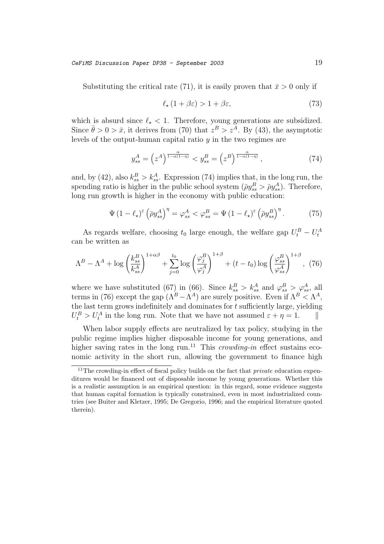Substituting the critical rate (71), it is easily proven that  $\bar{x} > 0$  only if

$$
\ell_{\star} \left( 1 + \beta \varepsilon \right) > 1 + \beta \varepsilon, \tag{73}
$$

which is absurd since  $\ell_{\star} < 1$ . Therefore, young generations are subsidized. Since  $\bar{\theta} > 0 > \bar{x}$ , it derives from (70) that  $z^B > z^{\bar{A}}$ . By (43), the asymptotic levels of the output-human capital ratio  $y$  in the two regimes are

$$
y_{ss}^A = \left(z^A\right)^{\frac{\alpha}{1-\alpha(1-\eta)}} < y_{ss}^B = \left(z^B\right)^{\frac{\alpha}{1-\alpha(1-\eta)}},\tag{74}
$$

and, by (42), also  $k_{ss}^B > k_{ss}^A$ . Expression (74) implies that, in the long run, the spending ratio is higher in the public school system  $(\bar{\rho}y_{ss}^B > \bar{\rho}y_{ss}^A)$ . Therefore, long run growth is higher in the economy with public education:

$$
\Psi (1 - \ell_{\star})^{\varepsilon} \left( \bar{\rho} y_{ss}^A \right)^{\eta} = \varphi_{ss}^A < \varphi_{ss}^B = \Psi (1 - \ell_{\star})^{\varepsilon} \left( \bar{\rho} y_{ss}^B \right)^{\eta} . \tag{75}
$$

As regards welfare, choosing  $t_0$  large enough, the welfare gap  $U_t^B - U_t^A$ can be written as

$$
\Lambda^B - \Lambda^A + \log\left(\frac{k_{ss}^B}{k_{ss}^A}\right)^{1+\alpha\beta} + \sum_{j=0}^{t_0} \log\left(\frac{\varphi_j^B}{\varphi_j^A}\right)^{1+\beta} + (t - t_0) \log\left(\frac{\varphi_{ss}^B}{\varphi_{ss}^A}\right)^{1+\beta}, \tag{76}
$$

where we have substituted (67) in (66). Since  $k_{ss}^B > k_{ss}^A$  and  $\varphi_{ss}^B > \varphi_{ss}^A$ , all terms in (76) except the gap  $(\Lambda^B - \Lambda^A)$  are surely positive. Even if  $\Lambda^B < \Lambda^A$ , the last term grows indefinitely and dominates for  $t$  sufficiently large, yielding  $U_t^B > U_t^A$  in the long run. Note that we have not assumed  $\varepsilon + \eta = 1$ .

When labor supply effects are neutralized by tax policy, studying in the public regime implies higher disposable income for young generations, and higher saving rates in the long run.<sup>11</sup> This *crowding-in* effect sustains economic activity in the short run, allowing the government to finance high

<sup>&</sup>lt;sup>11</sup>The crowding-in effect of fiscal policy builds on the fact that *private* education expenditures would be financed out of disposable income by young generations. Whether this is a realistic assumption is an empirical question: in this regard, some evidence suggests that human capital formation is typically constrained, even in most industrialized countries (see Buiter and Kletzer, 1995; De Gregorio, 1996; and the empirical literature quoted therein).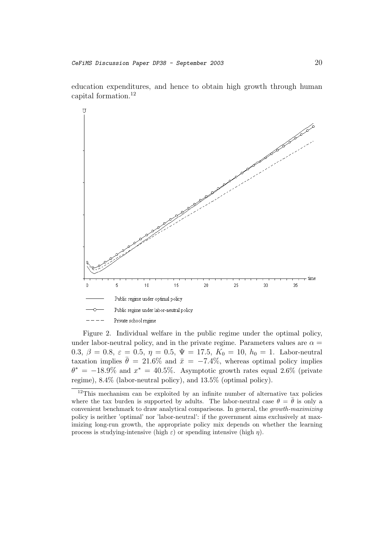education expenditures, and hence to obtain high growth through human capital formation.<sup>12</sup>



Figure 2. Individual welfare in the public regime under the optimal policy, under labor-neutral policy, and in the private regime. Parameters values are  $\alpha =$ 0.3,  $\beta = 0.8$ ,  $\varepsilon = 0.5$ ,  $\eta = 0.5$ ,  $\Psi = 17.5$ ,  $K_0 = 10$ ,  $h_0 = 1$ . Labor-neutral taxation implies  $\bar{\theta} = 21.6\%$  and  $\bar{x} = -7.4\%$ , whereas optimal policy implies  $\theta^* = -18.9\%$  and  $x^* = 40.5\%$ . Asymptotic growth rates equal 2.6% (private regime), 8.4% (labor-neutral policy), and 13.5% (optimal policy).

<sup>&</sup>lt;sup>12</sup>This mechanism can be exploited by an infinite number of alternative tax policies where the tax burden is supported by adults. The labor-neutral case  $\theta = \bar{\theta}$  is only a convenient benchmark to draw analytical comparisons. In general, the growth-maximizing policy is neither 'optimal' nor 'labor-neutral': if the government aims exclusively at maximizing long-run growth, the appropriate policy mix depends on whether the learning process is studying-intensive (high  $\varepsilon$ ) or spending intensive (high  $\eta$ ).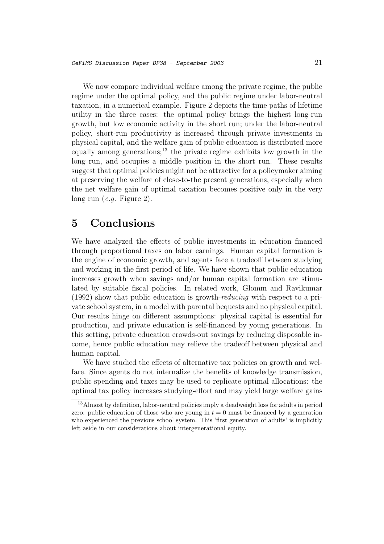We now compare individual welfare among the private regime, the public regime under the optimal policy, and the public regime under labor-neutral taxation, in a numerical example. Figure 2 depicts the time paths of lifetime utility in the three cases: the optimal policy brings the highest long-run growth, but low economic activity in the short run; under the labor-neutral policy, short-run productivity is increased through private investments in physical capital, and the welfare gain of public education is distributed more equally among generations;<sup>13</sup> the private regime exhibits low growth in the long run, and occupies a middle position in the short run. These results suggest that optimal policies might not be attractive for a policymaker aiming at preserving the welfare of close-to-the present generations, especially when the net welfare gain of optimal taxation becomes positive only in the very long run (e.g. Figure 2).

# **5 Conclusions**

We have analyzed the effects of public investments in education financed through proportional taxes on labor earnings. Human capital formation is the engine of economic growth, and agents face a tradeoff between studying and working in the first period of life. We have shown that public education increases growth when savings and/or human capital formation are stimulated by suitable fiscal policies. In related work, Glomm and Ravikumar (1992) show that public education is growth-reducing with respect to a private school system, in a model with parental bequests and no physical capital. Our results hinge on different assumptions: physical capital is essential for production, and private education is self-financed by young generations. In this setting, private education crowds-out savings by reducing disposable income, hence public education may relieve the tradeoff between physical and human capital.

We have studied the effects of alternative tax policies on growth and welfare. Since agents do not internalize the benefits of knowledge transmission, public spending and taxes may be used to replicate optimal allocations: the optimal tax policy increases studying-effort and may yield large welfare gains

<sup>13</sup>Almost by definition, labor-neutral policies imply a deadweight loss for adults in period zero: public education of those who are young in  $t = 0$  must be financed by a generation who experienced the previous school system. This 'first generation of adults' is implicitly left aside in our considerations about intergenerational equity.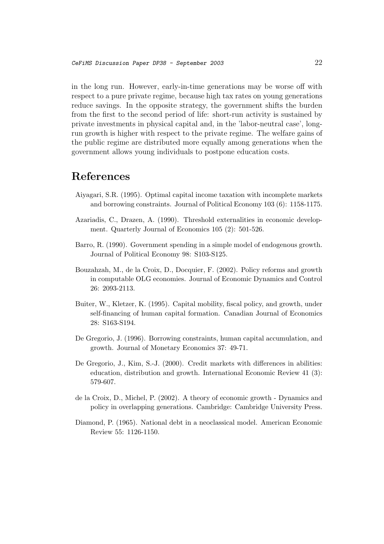in the long run. However, early-in-time generations may be worse off with respect to a pure private regime, because high tax rates on young generations reduce savings. In the opposite strategy, the government shifts the burden from the first to the second period of life: short-run activity is sustained by private investments in physical capital and, in the 'labor-neutral case', longrun growth is higher with respect to the private regime. The welfare gains of the public regime are distributed more equally among generations when the government allows young individuals to postpone education costs.

## **References**

- Aiyagari, S.R. (1995). Optimal capital income taxation with incomplete markets and borrowing constraints. Journal of Political Economy 103 (6): 1158-1175.
- Azariadis, C., Drazen, A. (1990). Threshold externalities in economic development. Quarterly Journal of Economics 105 (2): 501-526.
- Barro, R. (1990). Government spending in a simple model of endogenous growth. Journal of Political Economy 98: S103-S125.
- Bouzahzah, M., de la Croix, D., Docquier, F. (2002). Policy reforms and growth in computable OLG economies. Journal of Economic Dynamics and Control 26: 2093-2113.
- Buiter, W., Kletzer, K. (1995). Capital mobility, fiscal policy, and growth, under self-financing of human capital formation. Canadian Journal of Economics 28: S163-S194.
- De Gregorio, J. (1996). Borrowing constraints, human capital accumulation, and growth. Journal of Monetary Economics 37: 49-71.
- De Gregorio, J., Kim, S.-J. (2000). Credit markets with differences in abilities: education, distribution and growth. International Economic Review 41 (3): 579-607.
- de la Croix, D., Michel, P. (2002). A theory of economic growth Dynamics and policy in overlapping generations. Cambridge: Cambridge University Press.
- Diamond, P. (1965). National debt in a neoclassical model. American Economic Review 55: 1126-1150.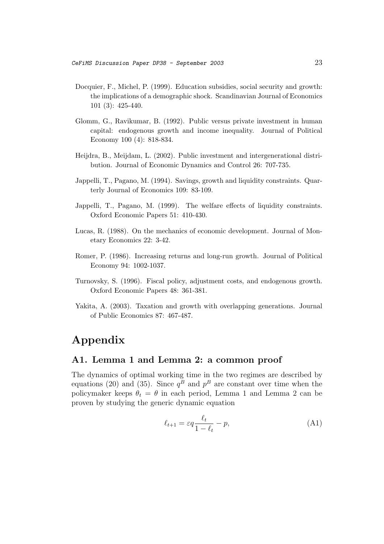- Docquier, F., Michel, P. (1999). Education subsidies, social security and growth: the implications of a demographic shock. Scandinavian Journal of Economics 101 (3): 425-440.
- Glomm, G., Ravikumar, B. (1992). Public versus private investment in human capital: endogenous growth and income inequality. Journal of Political Economy 100 (4): 818-834.
- Heijdra, B., Meijdam, L. (2002). Public investment and intergenerational distribution. Journal of Economic Dynamics and Control 26: 707-735.
- Jappelli, T., Pagano, M. (1994). Savings, growth and liquidity constraints. Quarterly Journal of Economics 109: 83-109.
- Jappelli, T., Pagano, M. (1999). The welfare effects of liquidity constraints. Oxford Economic Papers 51: 410-430.
- Lucas, R. (1988). On the mechanics of economic development. Journal of Monetary Economics 22: 3-42.
- Romer, P. (1986). Increasing returns and long-run growth. Journal of Political Economy 94: 1002-1037.
- Turnovsky, S. (1996). Fiscal policy, adjustment costs, and endogenous growth. Oxford Economic Papers 48: 361-381.
- Yakita, A. (2003). Taxation and growth with overlapping generations. Journal of Public Economics 87: 467-487.

# **Appendix**

## **A1. Lemma 1 and Lemma 2: a common proof**

The dynamics of optimal working time in the two regimes are described by equations (20) and (35). Since  $q^B$  and  $p^B$  are constant over time when the policymaker keeps  $\theta_t = \theta$  in each period, Lemma 1 and Lemma 2 can be proven by studying the generic dynamic equation

$$
\ell_{t+1} = \varepsilon q \frac{\ell_t}{1 - \ell_t} - p,\tag{A1}
$$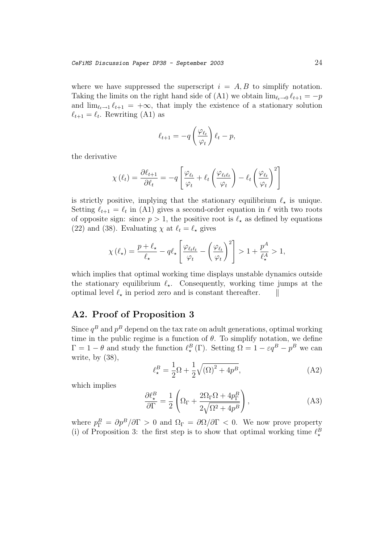where we have suppressed the superscript  $i = A, B$  to simplify notation. Taking the limits on the right hand side of (A1) we obtain  $\lim_{\ell \to 0} \ell_{t+1} = -p$ and  $\lim_{\ell_t\to 1} \ell_{t+1} = +\infty$ , that imply the existence of a stationary solution  $\ell_{t+1} = \ell_t$ . Rewriting (A1) as

$$
\ell_{t+1} = -q \left(\frac{\varphi_{\ell_t}}{\varphi_t}\right) \ell_t - p,
$$

the derivative

$$
\chi(\ell_t) = \frac{\partial \ell_{t+1}}{\partial \ell_t} = -q \left[ \frac{\varphi_{\ell_t}}{\varphi_t} + \ell_t \left( \frac{\varphi_{\ell_t \ell_t}}{\varphi_t} \right) - \ell_t \left( \frac{\varphi_{\ell_t}}{\varphi_t} \right)^2 \right]
$$

is strictly positive, implying that the stationary equilibrium  $\ell_{\star}$  is unique. Setting  $\ell_{t+1} = \ell_t$  in (A1) gives a second-order equation in  $\ell$  with two roots of opposite sign: since  $p > 1$ , the positive root is  $\ell_{\star}$  as defined by equations (22) and (38). Evaluating  $\chi$  at  $\ell_t = \ell_{\star}$  gives

$$
\chi\left(\ell_{\star}\right) = \frac{p + \ell_{\star}}{\ell_{\star}} - q\ell_{\star} \left[ \frac{\varphi_{\ell_{t}\ell_{t}}}{\varphi_{t}} - \left( \frac{\varphi_{\ell_{t}}}{\varphi_{t}} \right)^{2} \right] > 1 + \frac{p^{A}}{\ell_{\star}^{A}} > 1,
$$

which implies that optimal working time displays unstable dynamics outside the stationary equilibrium  $\ell_{\star}$ . Consequently, working time jumps at the optimal level  $\ell_{\star}$  in period zero and is constant thereafter.  $\|\cdot\|$ 

## **A2. Proof of Proposition 3**

Since  $q^B$  and  $p^B$  depend on the tax rate on adult generations, optimal working time in the public regime is a function of  $\theta$ . To simplify notation, we define  $\Gamma = 1 - \theta$  and study the function  $\ell_{\star}^{B}(\Gamma)$ . Setting  $\Omega = 1 - \varepsilon q^{B} - p^{B}$  we can write, by  $(38)$ ,

$$
\ell_{\star}^{B} = \frac{1}{2}\Omega + \frac{1}{2}\sqrt{(\Omega)^{2} + 4p^{B}},\tag{A2}
$$

which implies

$$
\frac{\partial \ell_{\star}^{B}}{\partial \Gamma} = \frac{1}{2} \left( \Omega_{\Gamma} + \frac{2\Omega_{\Gamma}\Omega + 4p_{\Gamma}^{B}}{2\sqrt{\Omega^{2} + 4p^{B}}} \right), \tag{A3}
$$

where  $p_{\Gamma}^{B} = \partial p^{B}/\partial \Gamma > 0$  and  $\Omega_{\Gamma} = \partial \Omega/\partial \Gamma < 0$ . We now prove property (i) of Proposition 3: the first step is to show that optimal working time  $\ell_{\star}^{\beta}$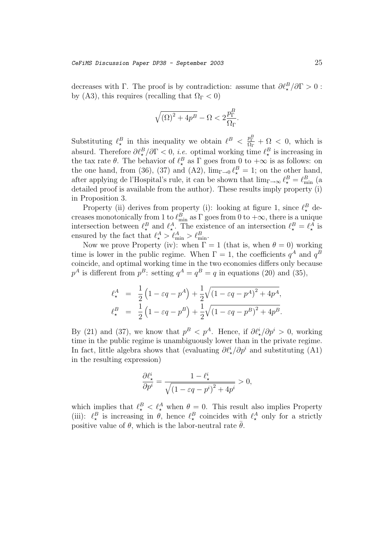decreases with  $\Gamma$ . The proof is by contradiction: assume that  $\partial \ell_{\star}^B / \partial \Gamma > 0$ : by (A3), this requires (recalling that  $\Omega_{\Gamma} < 0$ )

$$
\sqrt{(\Omega)^2 + 4p^B} - \Omega < 2\frac{p_{\Gamma}^B}{\Omega_{\Gamma}}.
$$

Substituting  $\ell_{\star}^B$  in this inequality we obtain  $\ell^B < \frac{p_{\Gamma}^B}{\Omega_{\Gamma}} + \Omega < 0$ , which is absurd. Therefore  $\partial \ell_{\star}^{B}/\partial \Gamma < 0$ , *i.e.* optimal working time  $\ell_{\star}^{B}$  is increasing in the tax rate  $\theta$ . The behavior of  $\ell_{\star}^{B}$  as  $\Gamma$  goes from 0 to  $+\infty$  is as follows: on the one hand, from (36), (37) and (A2),  $\lim_{\Gamma \to 0} \ell_{\star}^{B} = 1$ ; on the other hand, after applying de l'Hospital's rule, it can be shown that  $\lim_{\Gamma \to \infty} \ell_{\star}^{B} = \ell_{\min}^{B}$  (a detailed proof is available from the author). These results imply property (i) in Proposition 3.

Property (ii) derives from property (i): looking at figure 1, since  $\ell_{\star}^{B}$  decreases monotonically from 1 to  $\ell_{\min}^B$  as  $\Gamma$  goes from 0 to  $+\infty$ , there is a unique intersection between  $\ell_{\star}^{B}$  and  $\ell_{\star}^{A}$ . The existence of an intersection  $\ell_{\star}^{B} = \ell_{\star}^{A}$  is ensured by the fact that  $\ell_{\star}^A > \ell_{\min}^A > \ell_{\min}^B$ .

Now we prove Property (iv): when  $\Gamma = 1$  (that is, when  $\theta = 0$ ) working time is lower in the public regime. When  $\Gamma = 1$ , the coefficients  $q^A$  and  $q^B$ coincide, and optimal working time in the two economies differs only because  $p^A$  is different from  $p^B$ : setting  $q^A = q^B = q$  in equations (20) and (35),

$$
\ell_{\star}^{A} = \frac{1}{2} (1 - \varepsilon q - p^{A}) + \frac{1}{2} \sqrt{(1 - \varepsilon q - p^{A})^{2} + 4p^{A}},
$$
  

$$
\ell_{\star}^{B} = \frac{1}{2} (1 - \varepsilon q - p^{B}) + \frac{1}{2} \sqrt{(1 - \varepsilon q - p^{B})^{2} + 4p^{B}}.
$$

By (21) and (37), we know that  $p^B < p^A$ . Hence, if  $\partial \ell^i_{\star}/\partial p^i > 0$ , working time in the public regime is unambiguously lower than in the private regime. In fact, little algebra shows that (evaluating  $\partial \ell^i_{\star}/\partial p^i$  and substituting (A1) in the resulting expression)

$$
\frac{\partial \ell_{\star}^i}{\partial p^i} = \frac{1-\ell_{\star}^i}{\sqrt{\left(1-\varepsilon q - p^i\right)^2+4p^i}} > 0,
$$

which implies that  $\ell_{\star}^B < \ell_{\star}^A$  when  $\theta = 0$ . This result also implies Property (iii):  $\ell_{\star}^{B}$  is increasing in  $\hat{\theta}$ , hence  $\ell_{\star}^{B}$  coincides with  $\ell_{\star}^{A}$  only for a strictly positive value of  $\theta$ , which is the labor-neutral rate  $\bar{\theta}$ .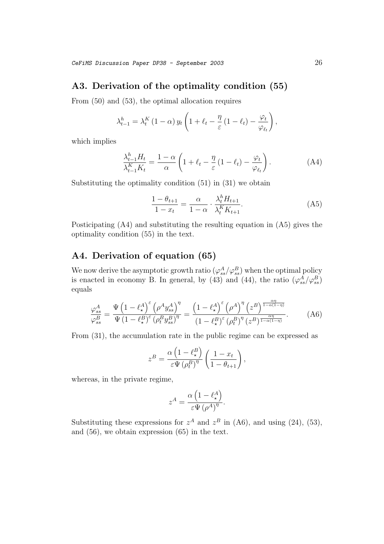#### **A3. Derivation of the optimality condition (55)**

From (50) and (53), the optimal allocation requires

$$
\lambda_{t-1}^{h} = \lambda_{t}^{K} (1 - \alpha) y_{t} \left( 1 + \ell_{t} - \frac{\eta}{\varepsilon} (1 - \ell_{t}) - \frac{\varphi_{t}}{\varphi_{\ell_{t}}} \right),
$$

which implies

$$
\frac{\lambda_{t-1}^h H_t}{\lambda_{t-1}^K K_t} = \frac{1-\alpha}{\alpha} \left( 1 + \ell_t - \frac{\eta}{\varepsilon} \left( 1 - \ell_t \right) - \frac{\varphi_t}{\varphi_{\ell_t}} \right). \tag{A4}
$$

Substituting the optimality condition (51) in (31) we obtain

$$
\frac{1 - \theta_{t+1}}{1 - x_t} = \frac{\alpha}{1 - \alpha} \cdot \frac{\lambda_t^h H_{t+1}}{\lambda_t^K K_{t+1}}.
$$
 (A5)

Posticipating (A4) and substituting the resulting equation in (A5) gives the optimality condition (55) in the text.

## **A4. Derivation of equation (65)**

We now derive the asymptotic growth ratio  $(\varphi_{ss}^{A}/\varphi_{ss}^{B})$  when the optimal policy is enacted in economy B. In general, by (43) and (44), the ratio  $(\varphi_{ss}^A/\varphi_{ss}^B)$ equals

$$
\frac{\varphi_{ss}^{A}}{\varphi_{ss}^{B}} = \frac{\Psi\left(1 - \ell_{\star}^{A}\right)^{\varepsilon}\left(\rho^{A} y_{ss}^{A}\right)^{\eta}}{\Psi\left(1 - \ell_{\star}^{B}\right)^{\varepsilon}\left(\rho_{t}^{B} y_{ss}^{B}\right)^{\eta}} = \frac{\left(1 - \ell_{\star}^{A}\right)^{\varepsilon}\left(\rho^{A}\right)^{\eta}\left(z^{B}\right)^{\frac{\alpha\eta}{1 - \alpha(1 - \eta)}}}{\left(1 - \ell_{\star}^{B}\right)^{\varepsilon}\left(\rho_{t}^{B}\right)^{\eta}\left(z^{B}\right)^{\frac{\alpha\eta}{1 - \alpha(1 - \eta)}}}.
$$
(A6)

From (31), the accumulation rate in the public regime can be expressed as

$$
z^{B} = \frac{\alpha \left(1 - \ell_{\star}^{B}\right)}{\varepsilon \Psi \left(\rho_{t}^{B}\right)^{\eta}} \left(\frac{1 - x_{t}}{1 - \theta_{t+1}}\right),
$$

whereas, in the private regime,

$$
z^{A} = \frac{\alpha \left(1 - \ell_{\star}^{A}\right)}{\varepsilon \Psi \left(\rho^{A}\right)^{\eta}}.
$$

Substituting these expressions for  $z^A$  and  $z^B$  in (A6), and using (24), (53), and (56), we obtain expression (65) in the text.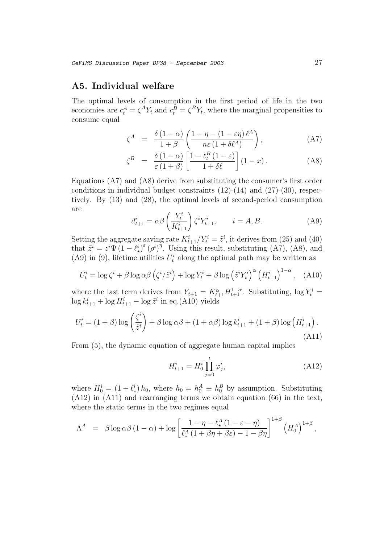## **A5. Individual welfare**

The optimal levels of consumption in the first period of life in the two economies are  $c_t^A = \zeta^A Y_t$  and  $c_t^B = \zeta^B Y_t$ , where the marginal propensities to consume equal

$$
\zeta^{A} = \frac{\delta (1 - \alpha)}{1 + \beta} \left( \frac{1 - \eta - (1 - \varepsilon \eta) \ell^{A}}{n \varepsilon (1 + \delta \ell^{A})} \right), \tag{A7}
$$

$$
\zeta^{B} = \frac{\delta (1 - \alpha)}{\varepsilon (1 + \beta)} \left[ \frac{1 - \ell_{t}^{B} (1 - \varepsilon)}{1 + \delta \ell} \right] (1 - x). \tag{A8}
$$

Equations (A7) and (A8) derive from substituting the consumer's first order conditions in individual budget constraints  $(12)-(14)$  and  $(27)-(30)$ , respectively. By (13) and (28), the optimal levels of second-period consumption are

$$
d_{t+1}^i = \alpha \beta \left(\frac{Y_t^i}{K_{t+1}^i}\right) \zeta^i Y_{t+1}^i, \qquad i = A, B. \tag{A9}
$$

Setting the aggregate saving rate  $K_{t+1}^i/Y_t^i = \tilde{z}^i$ , it derives from (25) and (40) that  $\tilde{z}^i = z^i \Psi \left(1 - \ell_{\star}^i\right)^{\varepsilon} \left(\rho^i\right)^{\eta}$ . Using this result, substituting (A7), (A8), and (A9) in (9), lifetime utilities  $U_t^i$  along the optimal path may be written as

$$
U_t^i = \log \zeta^i + \beta \log \alpha \beta \left( \zeta^i / \tilde{z}^i \right) + \log Y_t^i + \beta \log \left( \tilde{z}^i Y_t^i \right)^{\alpha} \left( H_{t+1}^i \right)^{1-\alpha}, \quad (A10)
$$

where the last term derives from  $Y_{t+1} = K_{t+1}^{\alpha} H_{t+1}^{1-\alpha}$ . Substituting,  $\log Y_t^i =$  $\log k_{t+1}^i + \log H_{t+1}^i - \log \tilde{z}^i$  in eq.(A10) yields

$$
U_t^i = (1+\beta)\log\left(\frac{\zeta^i}{\tilde{z}^i}\right) + \beta\log\alpha\beta + (1+\alpha\beta)\log k_{t+1}^i + (1+\beta)\log\left(H_{t+1}^i\right). \tag{A11}
$$

From (5), the dynamic equation of aggregate human capital implies

$$
H_{t+1}^i = H_0^i \prod_{j=0}^t \varphi_j^i, \tag{A12}
$$

where  $H_0^i = (1 + \ell_{\star}^i) h_0$ , where  $h_0 = h_0^A \equiv h_0^B$  by assumption. Substituting (A12) in (A11) and rearranging terms we obtain equation (66) in the text, where the static terms in the two regimes equal

$$
\Lambda^A = \beta \log \alpha \beta (1-\alpha) + \log \left[ \frac{1-\eta - \ell_{\star}^A (1-\varepsilon-\eta)}{\ell_{\star}^A (1+\beta\eta+\beta\varepsilon) - 1 - \beta\eta} \right]^{1+\beta} \left( H_0^A \right)^{1+\beta},
$$